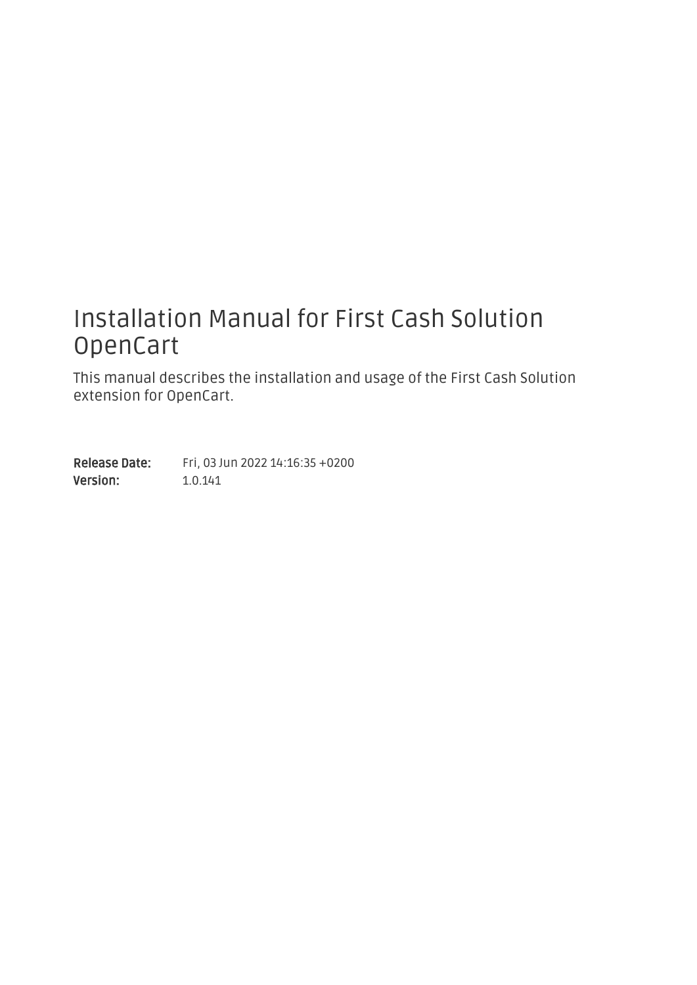### Installation Manual for First Cash Solution OpenCart

This manual describes the installation and usage of the First Cash Solution extension for OpenCart.

Release Date: Version: Fri, 03 Jun 2022 14:16:35 +0200 1.0.141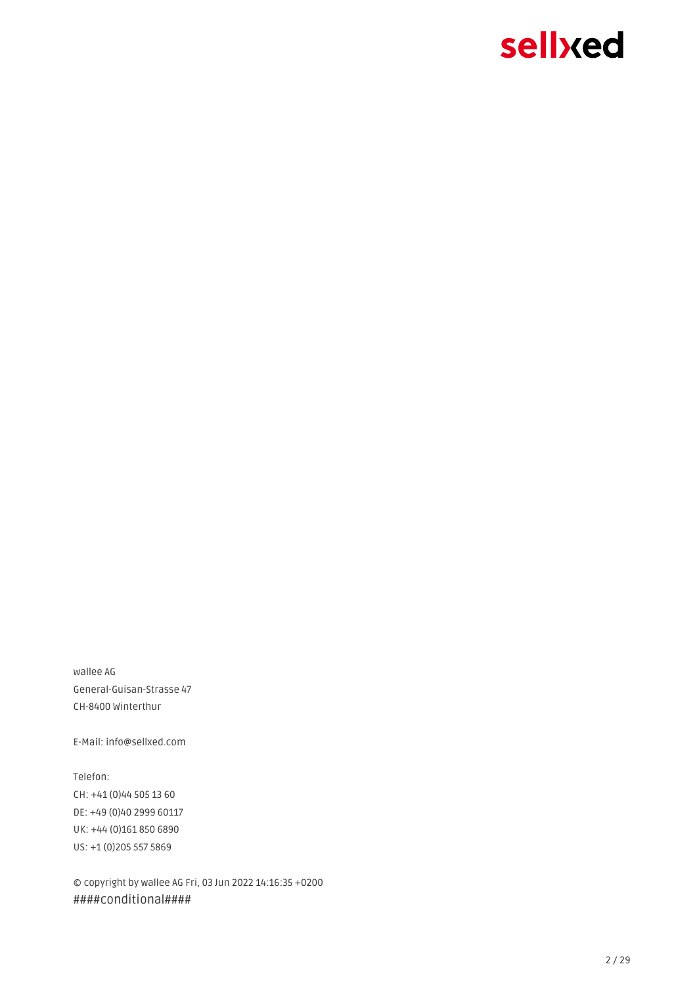#### 2 / 29

© copyright by wallee AG Fri, 03 Jun 2022 14:16:35 +0200 ####conditional####

Telefon: CH: +41 (0)44 505 13 60 DE: +49 (0)40 2999 60117 UK: +44 (0)161 850 6890 US: +1 (0)205 557 5869

General-Guisan-Strasse 47

E-Mail: info@sellxed.com

wallee AG CH-8400 Winterthur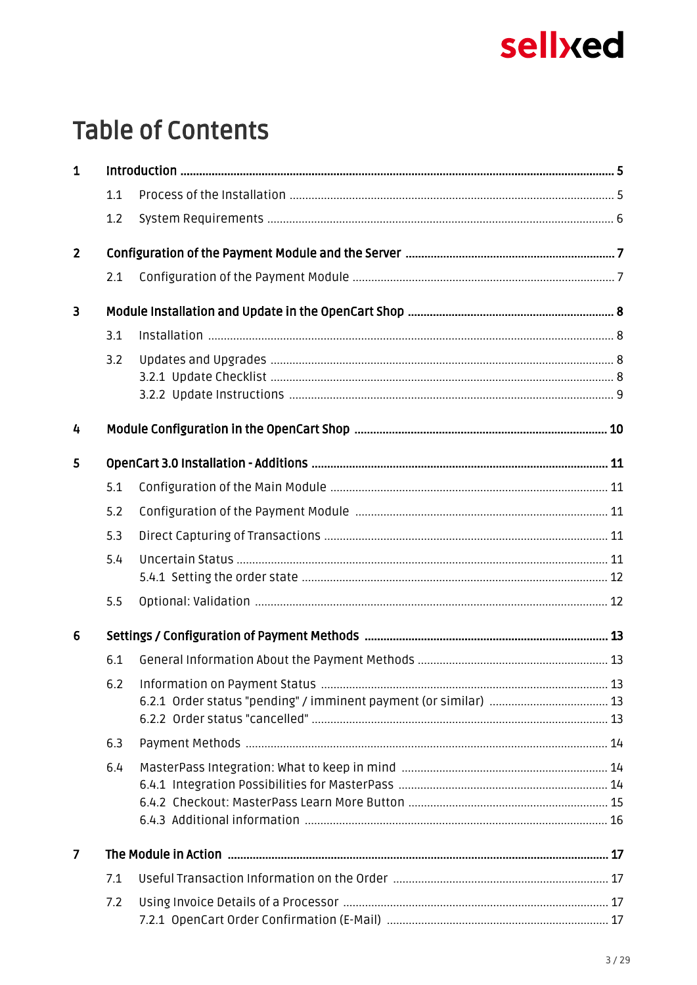## **Table of Contents**

| $\mathbf{1}$   |     |  |
|----------------|-----|--|
|                | 1.1 |  |
|                | 1.2 |  |
| $\overline{2}$ |     |  |
|                | 2.1 |  |
| 3              |     |  |
|                | 3.1 |  |
|                | 3.2 |  |
|                |     |  |
|                |     |  |
| 4              |     |  |
| 5              |     |  |
|                | 5.1 |  |
|                | 5.2 |  |
|                | 5.3 |  |
|                | 5.4 |  |
|                |     |  |
|                | 5.5 |  |
| $6\phantom{1}$ |     |  |
|                | 6.1 |  |
|                |     |  |
|                |     |  |
|                |     |  |
|                | 6.3 |  |
|                | 6.4 |  |
|                |     |  |
|                |     |  |
| $\overline{7}$ |     |  |
|                | 7.1 |  |
|                | 7.2 |  |
|                |     |  |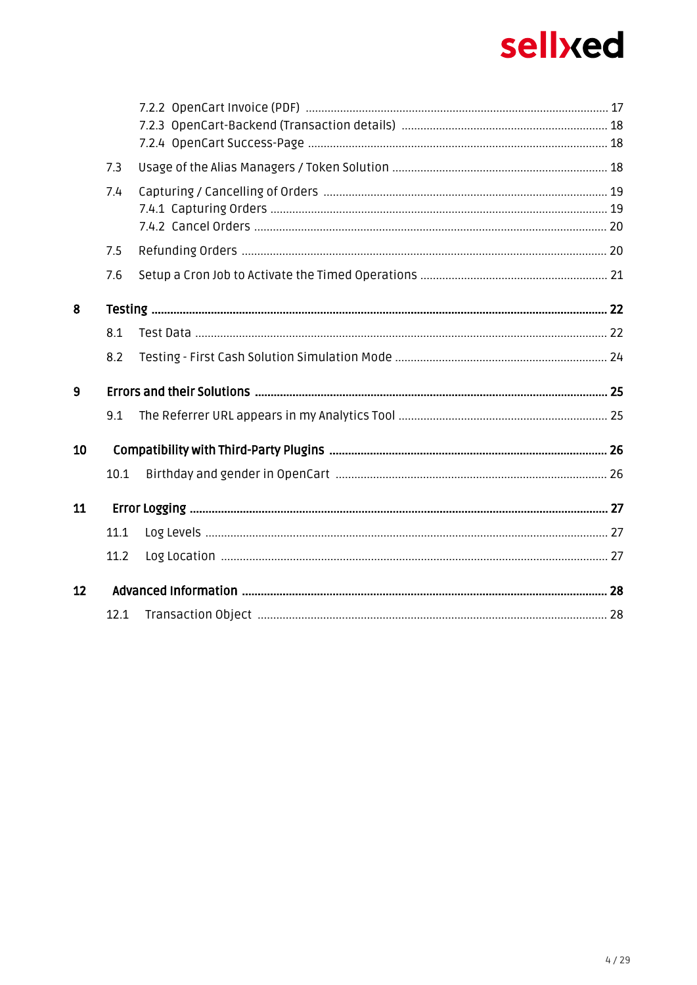|                   | 7.3  |  |
|-------------------|------|--|
|                   | 7.4  |  |
|                   |      |  |
|                   |      |  |
|                   | 7.5  |  |
|                   | 7.6  |  |
| 8                 |      |  |
|                   | 8.1  |  |
|                   | 8.2  |  |
| 9                 |      |  |
|                   | 9.1  |  |
| 10                |      |  |
|                   | 10.1 |  |
| 11                |      |  |
|                   | 11.1 |  |
|                   | 11.2 |  |
| $12 \overline{ }$ |      |  |
|                   |      |  |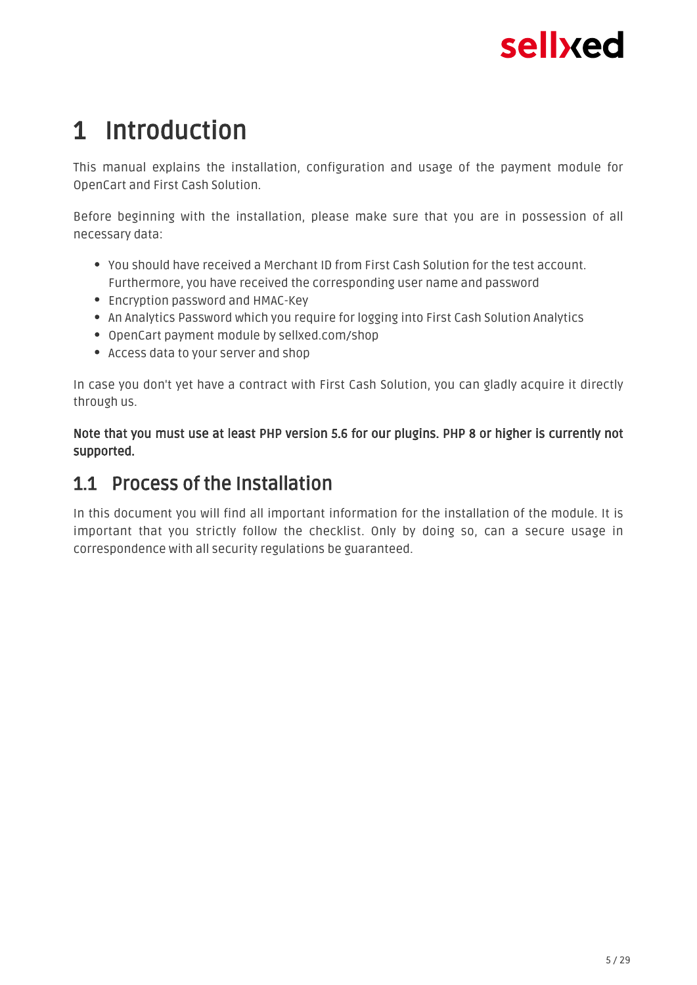## <span id="page-4-0"></span>1 Introduction

This manual explains the installation, configuration and usage of the payment module for OpenCart and First Cash Solution.

Before beginning with the installation, please make sure that you are in possession of all necessary data:

- You should have received a Merchant ID from First Cash Solution for the test account. Furthermore, you have received the corresponding user name and password
- Encryption password and HMAC-Key
- An Analytics Password which you require for logging into First Cash Solution Analytics
- OpenCart payment module by sellxed.com/shop
- Access data to your server and shop

In case you don't yet have a contract with First Cash Solution, you can gladly acquire it directly through us.

Note that you must use at least PHP version 5.6 for our plugins. PHP 8 or higher is currently not supported.

### <span id="page-4-1"></span>1.1 Process of the Installation

In this document you will find all important information for the installation of the module. It is important that you strictly follow the checklist. Only by doing so, can a secure usage in correspondence with all security regulations be guaranteed.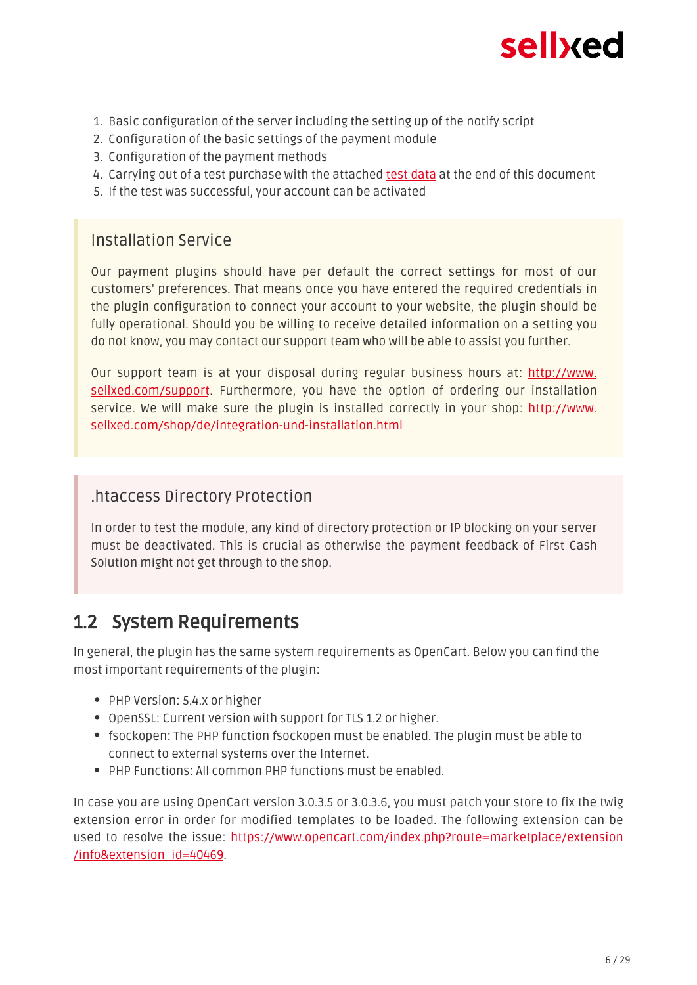

- 1. Basic configuration of the server including the setting up of the notify script
- 2. Configuration of the basic settings of the payment module
- 3. Configuration of the payment methods
- 4. Carrying out of a test purchase with the attached <u>test data</u> at the end of this document
- 5. If the test was successful, your account can be activated

#### Installation Service

Our payment plugins should have per default the correct settings for most of our customers' preferences. That means once you have entered the required credentials in the plugin configuration to connect your account to your website, the plugin should be fully operational. Should you be willing to receive detailed information on a setting you do not know, you may contact our support team who will be able to assist you further.

Our support team is at your disposal during regular business hours at: [http://www.](http://www.sellxed.com/support) [sellxed.com/support](http://www.sellxed.com/support). Furthermore, you have the option of ordering our installation service. We will make sure the plugin is installed correctly in your shop: [http://www.](http://www.sellxed.com/shop/en/integration-und-installation.html) [sellxed.com/shop/de/integration-und-installation.html](http://www.sellxed.com/shop/en/integration-und-installation.html)

#### .htaccess Directory Protection

In order to test the module, any kind of directory protection or IP blocking on your server must be deactivated. This is crucial as otherwise the payment feedback of First Cash Solution might not get through to the shop.

### <span id="page-5-0"></span>1.2 System Requirements

In general, the plugin has the same system requirements as OpenCart. Below you can find the most important requirements of the plugin:

- PHP Version: 5.4.x or higher
- OpenSSL: Current version with support for TLS 1.2 or higher.
- fsockopen: The PHP function fsockopen must be enabled. The plugin must be able to connect to external systems over the Internet.
- PHP Functions: All common PHP functions must be enabled.

In case you are using OpenCart version 3.0.3.5 or 3.0.3.6, you must patch your store to fix the twig extension error in order for modified templates to be loaded. The following extension can be used to resolve the issue: [https://www.opencart.com/index.php?route=marketplace/extension](https://www.opencart.com/index.php?route=marketplace/extension/info&extension_id=40469) [/info&extension\\_id=40469](https://www.opencart.com/index.php?route=marketplace/extension/info&extension_id=40469).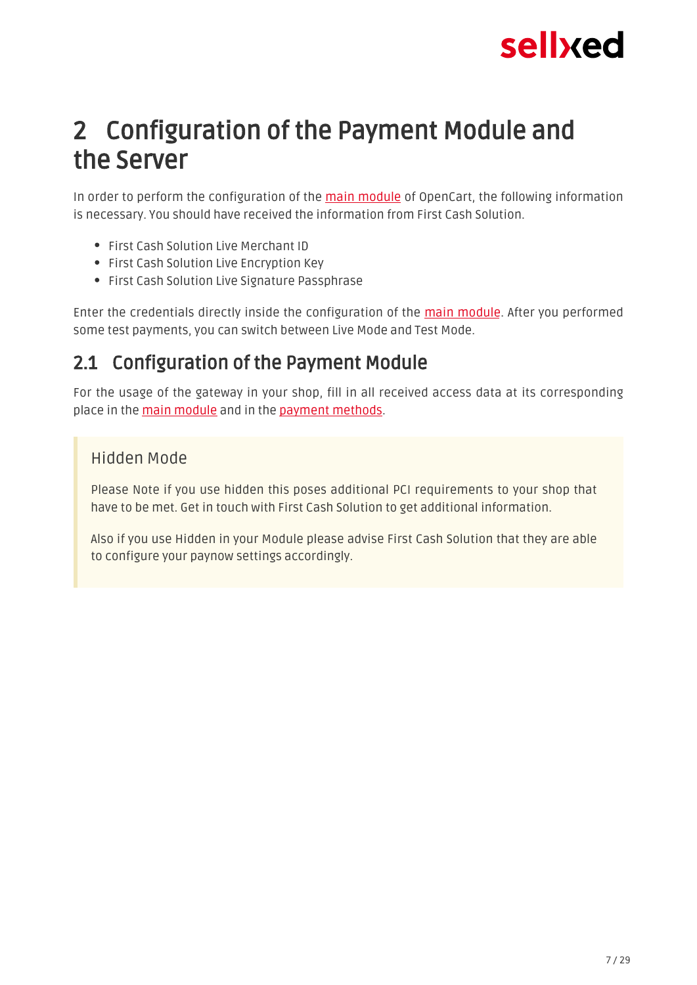## <span id="page-6-0"></span>2 Configuration of the Payment Module and the Server

In order to perform the configuration of the main module of OpenCart, the following information is necessary. You should have received the information from First Cash Solution.

- **First Cash Solution Live Merchant ID**
- First Cash Solution Live Encryption Key
- First Cash Solution Live Signature Passphrase

Enter the credentials directly inside the configuration of the main module. After you performed some test payments, you can switch between Live Mode and Test Mode.

### <span id="page-6-1"></span>2.1 Configuration of the Payment Module

For the usage of the gateway in your shop, fill in all received access data at its corresponding place in the [main module](#page-10-1) and in the [payment methods.](#page-10-2)

#### Hidden Mode

Please Note if you use hidden this poses additional PCI requirements to your shop that have to be met. Get in touch with First Cash Solution to get additional information.

Also if you use Hidden in your Module please advise First Cash Solution that they are able to configure your paynow settings accordingly.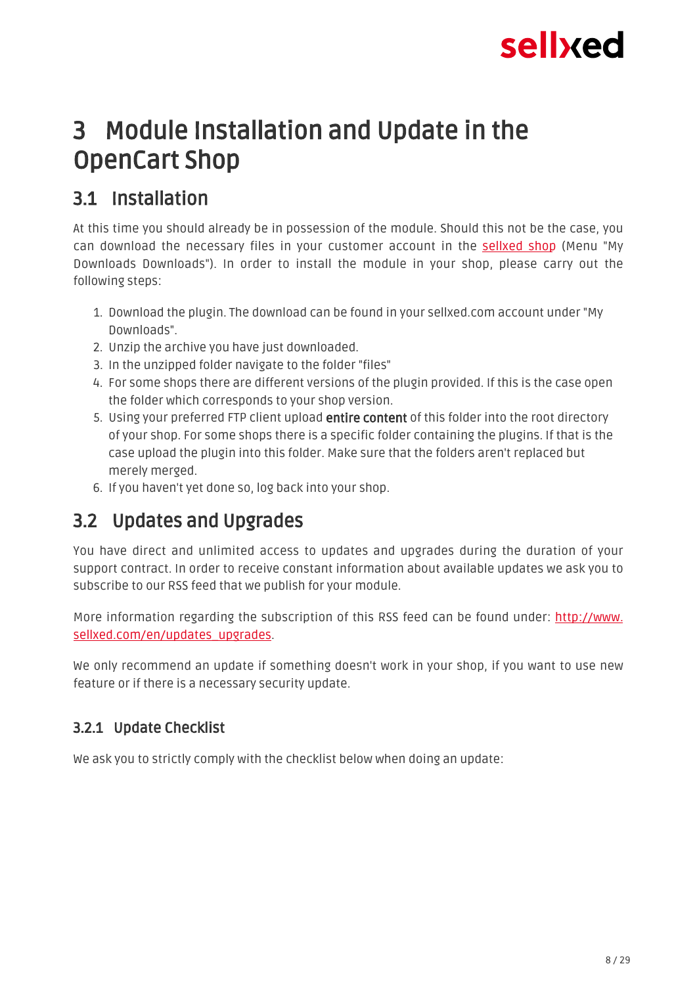

## <span id="page-7-0"></span>3 Module Installation and Update in the OpenCart Shop

### <span id="page-7-1"></span>3.1 Installation

At this time you should already be in possession of the module. Should this not be the case, you can download the necessary files in your customer account in the [sellxed shop](https://www.sellxed.com/shop/en/customer/account/login/) (Menu "My Downloads Downloads"). In order to install the module in your shop, please carry out the following steps:

- 1. Download the plugin. The download can be found in your sellxed.com account under "My Downloads".
- 2. Unzip the archive you have just downloaded.
- 3. In the unzipped folder navigate to the folder "files"
- 4. For some shops there are different versions of the plugin provided. If this is the case open the folder which corresponds to your shop version.
- 5. Using your preferred FTP client upload **entire content** of this folder into the root directory of your shop. For some shops there is a specific folder containing the plugins. If that is the case upload the plugin into this folder. Make sure that the folders aren't replaced but merely merged.
- 6. If you haven't yet done so, log back into your shop.

### <span id="page-7-2"></span>3.2 Updates and Upgrades

You have direct and unlimited access to updates and upgrades during the duration of your support contract. In order to receive constant information about available updates we ask you to subscribe to our RSS feed that we publish for your module.

More information regarding the subscription of this RSS feed can be found under: [http://www.](http://www.sellxed.com/en/updates_upgrades) [sellxed.com/en/updates\\_upgrades.](http://www.sellxed.com/en/updates_upgrades)

We only recommend an update if something doesn't work in your shop, if you want to use new feature or if there is a necessary security update.

### <span id="page-7-3"></span>3.2.1 Update Checklist

We ask you to strictly comply with the checklist below when doing an update: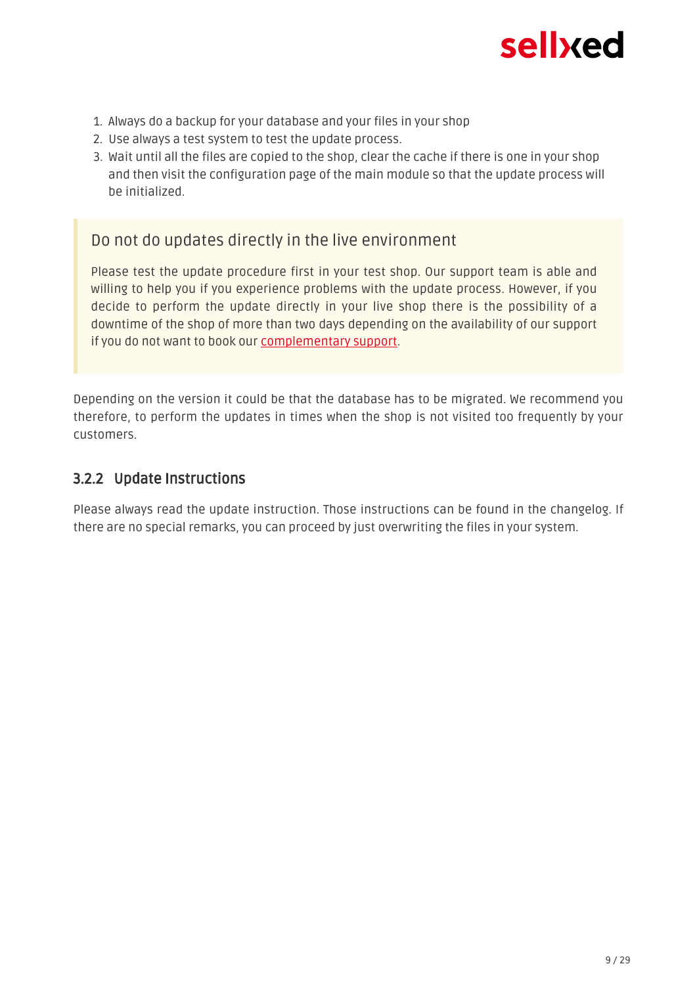

- 1. Always do a backup for your database and your files in your shop
- 2. Use always a test system to test the update process.
- 3. Wait until all the files are copied to the shop, clear the cache if there is one in your shop and then visit the configuration page of the main module so that the update process will be initialized.

Do not do updates directly in the live environment

Please test the update procedure first in your test shop. Our support team is able and willing to help you if you experience problems with the update process. However, if you decide to perform the update directly in your live shop there is the possibility of a downtime of the shop of more than two days depending on the availability of our support if you do not want to book our [complementary support](https://www.sellxed.com/shop/en/sellxed-zusatz-support.html).

Depending on the version it could be that the database has to be migrated. We recommend you therefore, to perform the updates in times when the shop is not visited too frequently by your customers.

#### <span id="page-8-0"></span>3.2.2 Update Instructions

Please always read the update instruction. Those instructions can be found in the changelog. If there are no special remarks, you can proceed by just overwriting the files in your system.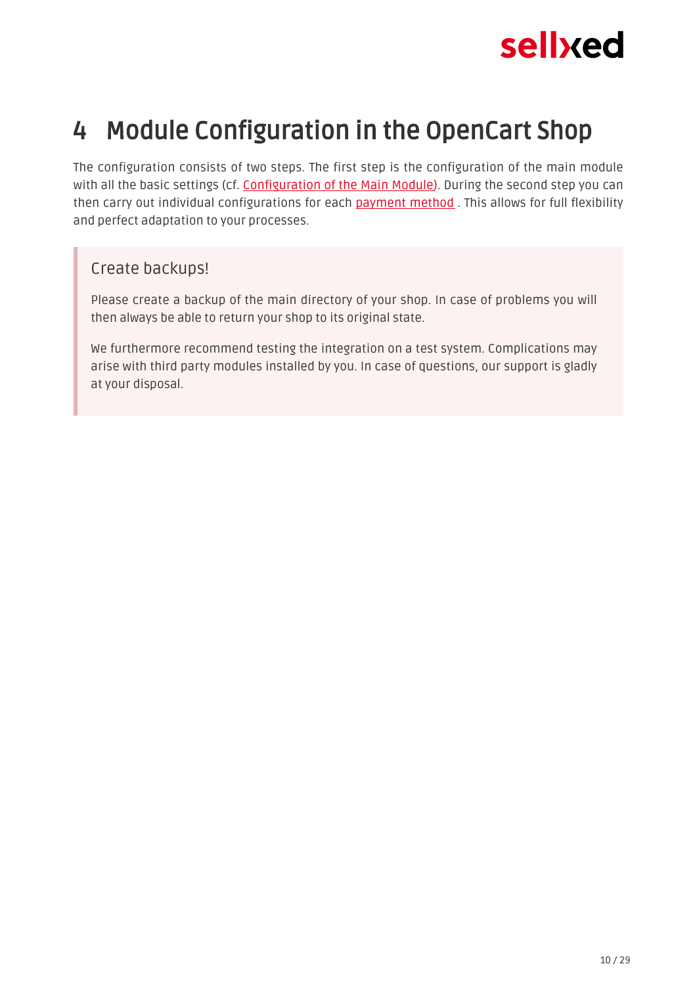

## <span id="page-9-0"></span>4 Module Configuration in the OpenCart Shop

The configuration consists of two steps. The first step is the configuration of the main module with all the basic settings (cf. [Configuration of the Main Module\)](#page-10-1). During the second step you can then carry out individual configurations for each payment method. This allows for full flexibility and perfect adaptation to your processes.

#### Create backups!

Please create a backup of the main directory of your shop. In case of problems you will then always be able to return your shop to its original state.

We furthermore recommend testing the integration on a test system. Complications may arise with third party modules installed by you. In case of questions, our support is gladly at your disposal.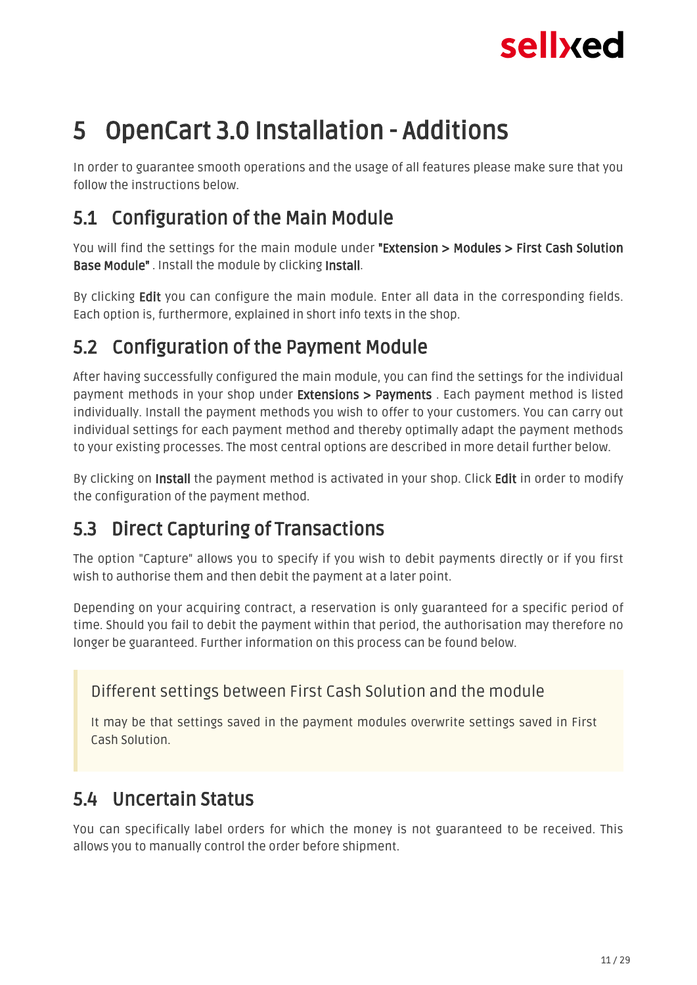## <span id="page-10-0"></span>5 OpenCart 3.0 Installation - Additions

In order to guarantee smooth operations and the usage of all features please make sure that you follow the instructions below.

### <span id="page-10-1"></span>5.1 Configuration of the Main Module

You will find the settings for the main module under "Extension > Modules > First Cash Solution Base Module" . Install the module by clicking Install.

By clicking Edit you can configure the main module. Enter all data in the corresponding fields. Each option is, furthermore, explained in short info texts in the shop.

### <span id="page-10-2"></span>5.2 Configuration of the Payment Module

After having successfully configured the main module, you can find the settings for the individual payment methods in your shop under **Extensions > Payments** . Each payment method is listed individually. Install the payment methods you wish to offer to your customers. You can carry out individual settings for each payment method and thereby optimally adapt the payment methods to your existing processes. The most central options are described in more detail further below.

By clicking on Install the payment method is activated in your shop. Click Edit in order to modify the configuration of the payment method.

### <span id="page-10-3"></span>5.3 Direct Capturing of Transactions

The option "Capture" allows you to specify if you wish to debit payments directly or if you first wish to authorise them and then debit the payment at a later point.

Depending on your acquiring contract, a reservation is only guaranteed for a specific period of time. Should you fail to debit the payment within that period, the authorisation may therefore no longer be guaranteed. Further information on this process can be found below.

### Different settings between First Cash Solution and the module

It may be that settings saved in the payment modules overwrite settings saved in First Cash Solution.

### <span id="page-10-4"></span>5.4 Uncertain Status

You can specifically label orders for which the money is not guaranteed to be received. This allows you to manually control the order before shipment.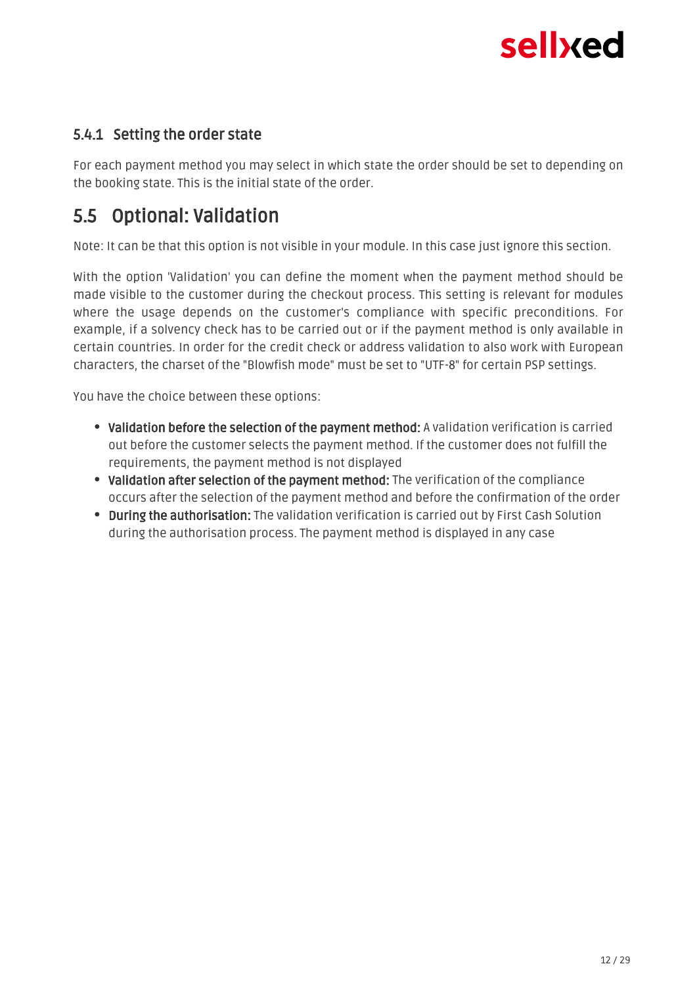#### <span id="page-11-0"></span>5.4.1 Setting the order state

For each payment method you may select in which state the order should be set to depending on the booking state. This is the initial state of the order.

### <span id="page-11-1"></span>5.5 Optional: Validation

Note: It can be that this option is not visible in your module. In this case just ignore this section.

With the option 'Validation' you can define the moment when the payment method should be made visible to the customer during the checkout process. This setting is relevant for modules where the usage depends on the customer's compliance with specific preconditions. For example, if a solvency check has to be carried out or if the payment method is only available in certain countries. In order for the credit check or address validation to also work with European characters, the charset of the "Blowfish mode" must be set to "UTF-8" for certain PSP settings.

You have the choice between these options:

- Validation before the selection of the payment method: A validation verification is carried out before the customer selects the payment method. If the customer does not fulfill the requirements, the payment method is not displayed
- Validation after selection of the payment method: The verification of the compliance occurs after the selection of the payment method and before the confirmation of the order
- **.** During the authorisation: The validation verification is carried out by First Cash Solution during the authorisation process. The payment method is displayed in any case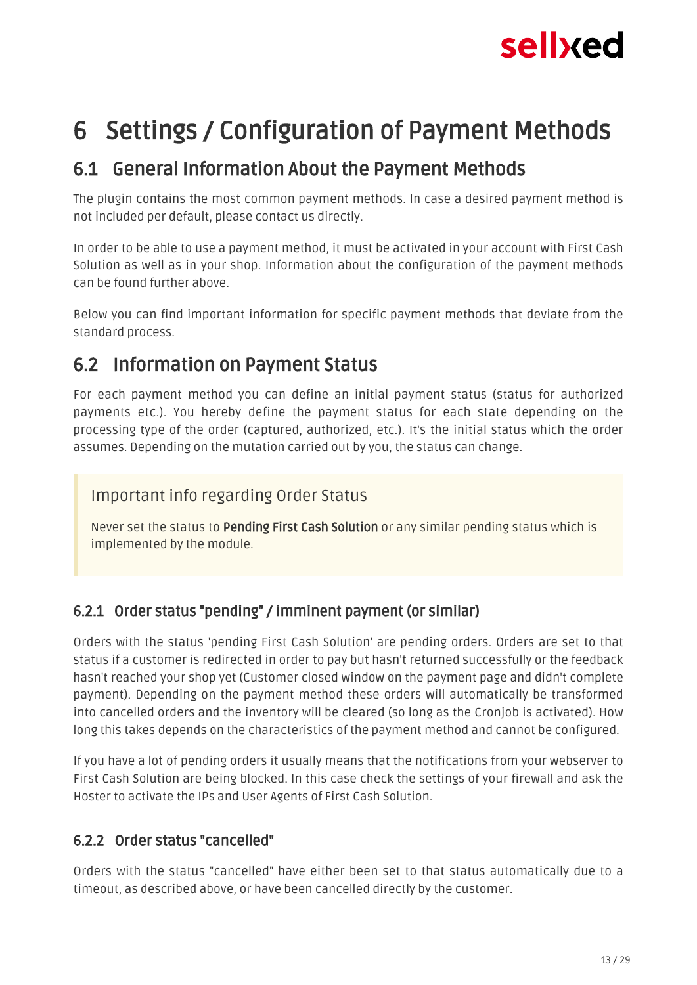

## <span id="page-12-0"></span>6 Settings / Configuration of Payment Methods

### <span id="page-12-1"></span>6.1 General Information About the Payment Methods

The plugin contains the most common payment methods. In case a desired payment method is not included per default, please contact us directly.

In order to be able to use a payment method, it must be activated in your account with First Cash Solution as well as in your shop. Information about the configuration of the payment methods can be found further above.

Below you can find important information for specific payment methods that deviate from the standard process.

### <span id="page-12-2"></span>6.2 Information on Payment Status

For each payment method you can define an initial payment status (status for authorized payments etc.). You hereby define the payment status for each state depending on the processing type of the order (captured, authorized, etc.). It's the initial status which the order assumes. Depending on the mutation carried out by you, the status can change.

#### Important info regarding Order Status

Never set the status to Pending First Cash Solution or any similar pending status which is implemented by the module.

### <span id="page-12-3"></span>6.2.1 Order status "pending" / imminent payment (or similar)

Orders with the status 'pending First Cash Solution' are pending orders. Orders are set to that status if a customer is redirected in order to pay but hasn't returned successfully or the feedback hasn't reached your shop yet (Customer closed window on the payment page and didn't complete payment). Depending on the payment method these orders will automatically be transformed into cancelled orders and the inventory will be cleared (so long as the Cronjob is activated). How long this takes depends on the characteristics of the payment method and cannot be configured.

If you have a lot of pending orders it usually means that the notifications from your webserver to First Cash Solution are being blocked. In this case check the settings of your firewall and ask the Hoster to activate the IPs and User Agents of First Cash Solution.

#### <span id="page-12-4"></span>6.2.2 Order status "cancelled"

Orders with the status "cancelled" have either been set to that status automatically due to a timeout, as described above, or have been cancelled directly by the customer.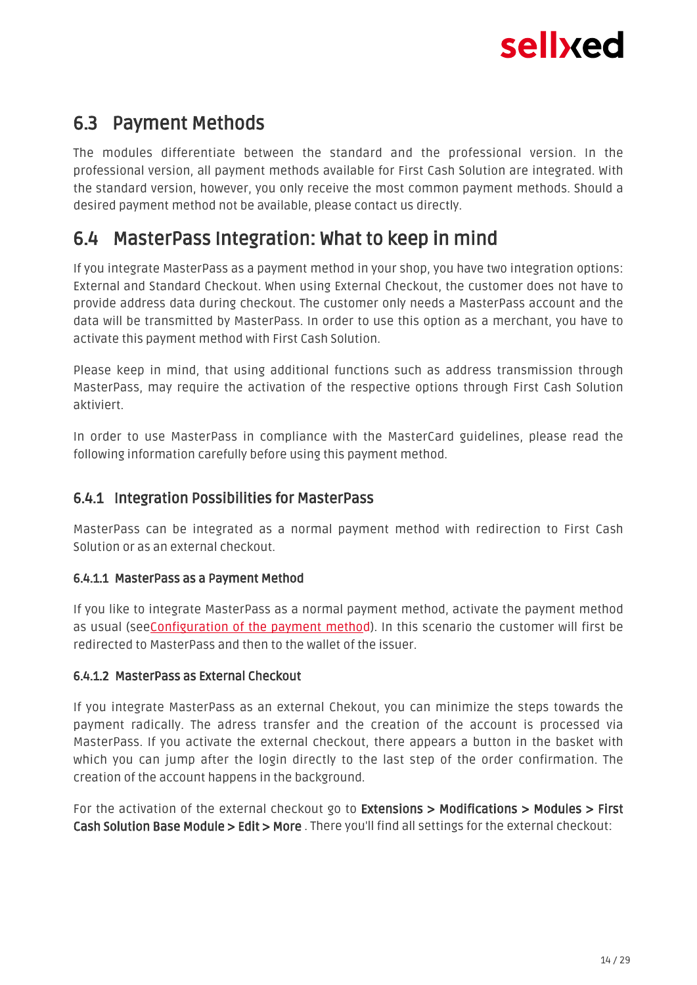

### <span id="page-13-0"></span>6.3 Payment Methods

The modules differentiate between the standard and the professional version. In the professional version, all payment methods available for First Cash Solution are integrated. With the standard version, however, you only receive the most common payment methods. Should a desired payment method not be available, please contact us directly.

### <span id="page-13-1"></span>6.4 MasterPass Integration: What to keep in mind

If you integrate MasterPass as a payment method in your shop, you have two integration options: External and Standard Checkout. When using External Checkout, the customer does not have to provide address data during checkout. The customer only needs a MasterPass account and the data will be transmitted by MasterPass. In order to use this option as a merchant, you have to activate this payment method with First Cash Solution.

Please keep in mind, that using additional functions such as address transmission through MasterPass, may require the activation of the respective options through First Cash Solution aktiviert.

In order to use MasterPass in compliance with the MasterCard guidelines, please read the following information carefully before using this payment method.

#### <span id="page-13-2"></span>6.4.1 Integration Possibilities for MasterPass

MasterPass can be integrated as a normal payment method with redirection to First Cash Solution or as an external checkout.

#### 6.4.1.1 MasterPass as a Payment Method

If you like to integrate MasterPass as a normal payment method, activate the payment method as usual (se[eConfiguration of the payment metho](#page-10-2)d). In this scenario the customer will first be redirected to MasterPass and then to the wallet of the issuer.

#### 6.4.1.2 MasterPass as External Checkout

If you integrate MasterPass as an external Chekout, you can minimize the steps towards the payment radically. The adress transfer and the creation of the account is processed via MasterPass. If you activate the external checkout, there appears a button in the basket with which you can jump after the login directly to the last step of the order confirmation. The creation of the account happens in the background.

For the activation of the external checkout go to Extensions > Modifications > Modules > First Cash Solution Base Module > Edit > More . There you'll find all settings for the external checkout: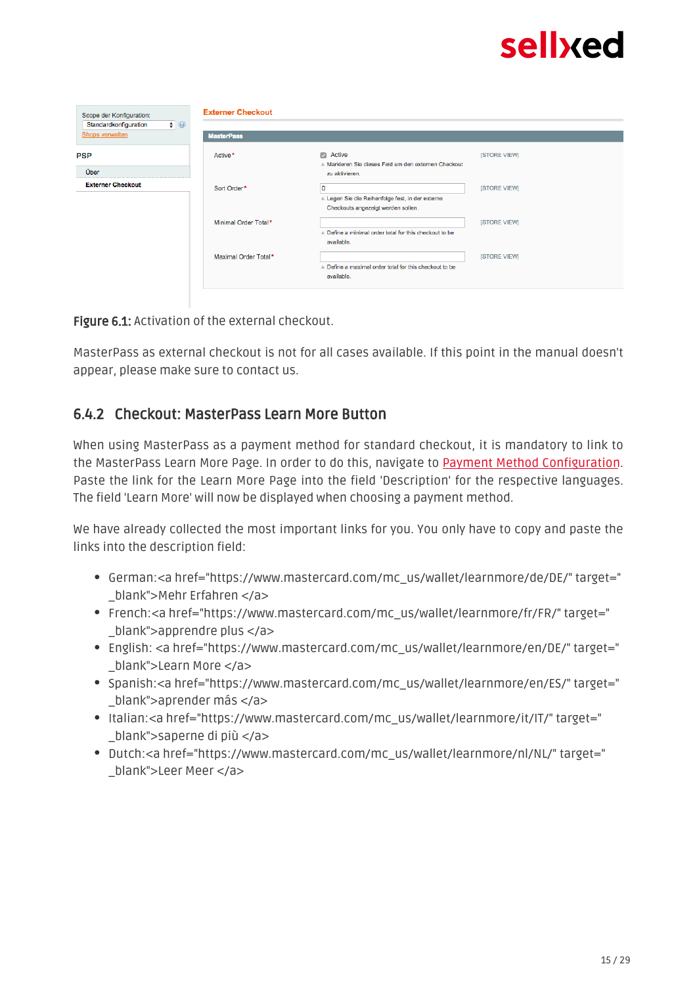| Scope der Konfiguration:                                | <b>Externer Checkout</b> |                                                                                              |                     |  |  |  |
|---------------------------------------------------------|--------------------------|----------------------------------------------------------------------------------------------|---------------------|--|--|--|
| $\bullet$ 0<br>Standardkonfiguration<br>Shops verwalten | <b>MasterPass</b>        |                                                                                              |                     |  |  |  |
| <b>PSP</b><br>Über                                      | Active*                  | $\Box$ Active<br>A Markieren Sie dieses Feld um den externen Checkout<br>zu aktivieren.      | <b>ISTORE VIEWI</b> |  |  |  |
| <b>Externer Checkout</b>                                | Sort Order*              | 10<br>▲ Legen Sie die Reihenfolge fest, in der externe<br>Checkouts angezeigt werden sollen. | <b>ISTORE VIEWI</b> |  |  |  |
|                                                         | Minimal Order Total*     | A Define a minimal order total for this checkout to be<br>available.                         | <b>ISTORE VIEWI</b> |  |  |  |
|                                                         | Maximal Order Total*     | ▲ Define a maximal order total for this checkout to be<br>available.                         | [STORE VIEW]        |  |  |  |
|                                                         |                          |                                                                                              |                     |  |  |  |

Figure 6.1: Activation of the external checkout.

MasterPass as external checkout is not for all cases available. If this point in the manual doesn't appear, please make sure to contact us.

#### <span id="page-14-0"></span>6.4.2 Checkout: MasterPass Learn More Button

When using MasterPass as a payment method for standard checkout, it is mandatory to link to the MasterPass Learn More Page. In order to do this, navigate to **[Payment Method Configuration](#page-10-2)**. Paste the link for the Learn More Page into the field 'Description' for the respective languages. The field 'Learn More' will now be displayed when choosing a payment method.

We have already collected the most important links for you. You only have to copy and paste the links into the description field:

- German:<a href="https://www.mastercard.com/mc\_us/wallet/learnmore/de/DE/" target=" \_blank">Mehr Erfahren </a>
- French:<a href="https://www.mastercard.com/mc\_us/wallet/learnmore/fr/FR/" target=" \_blank">apprendre plus </a>
- English: <a href="https://www.mastercard.com/mc\_us/wallet/learnmore/en/DE/" target=" \_blank">Learn More </a>
- Spanish:<a href="https://www.mastercard.com/mc\_us/wallet/learnmore/en/ES/" target=" \_blank">aprender más </a>
- Italian:<a href="https://www.mastercard.com/mc\_us/wallet/learnmore/it/IT/" target=" \_blank">saperne di più </a>
- Dutch:<a href="https://www.mastercard.com/mc\_us/wallet/learnmore/nl/NL/" target=" \_blank">Leer Meer </a>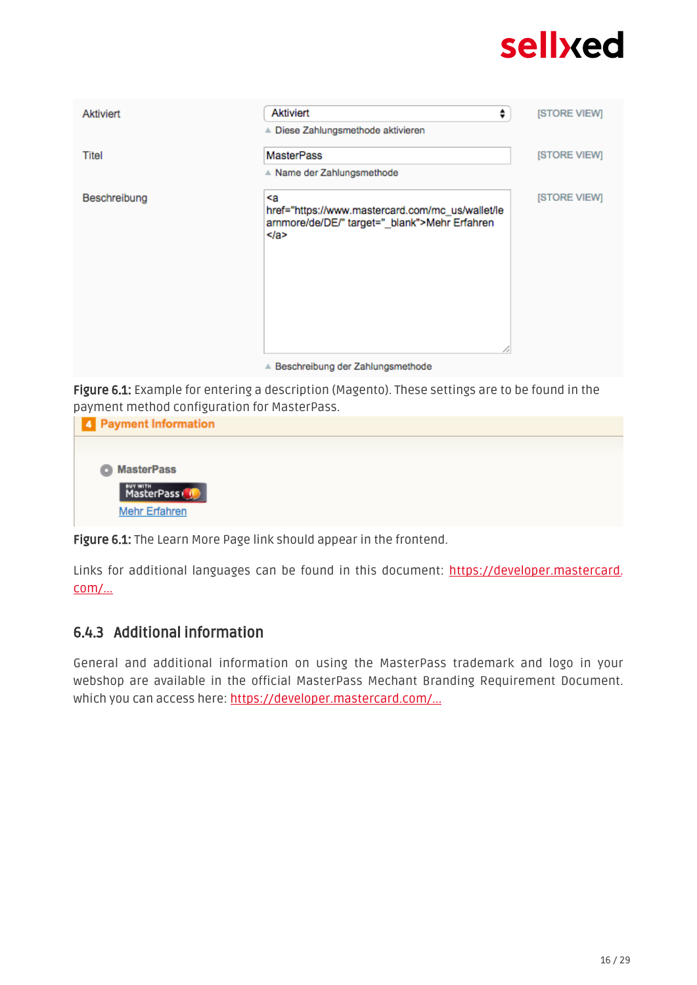

Figure 6.1: Example for entering a description (Magento). These settings are to be found in the payment method configuration for MasterPass.

| payment method connigatation for riablen abb. |
|-----------------------------------------------|
| 4 Payment Information                         |
|                                               |
| <b>O</b> MasterPass                           |
| MasterPass <sup>(1)</sup>                     |
| <b>Mehr Erfahren</b>                          |
|                                               |

Figure 6.1: The Learn More Page link should appear in the frontend.

Links for additional languages can be found in this document: [https://developer.mastercard.](https://developer.mastercard.com/portal/download/attachments/48234577/Masterpass+Digital+Assets+-+Buttons+Learn+More+Links+v6+09+19+2014.pdf) [com/...](https://developer.mastercard.com/portal/download/attachments/48234577/Masterpass+Digital+Assets+-+Buttons+Learn+More+Links+v6+09+19+2014.pdf)

#### <span id="page-15-0"></span>6.4.3 Additional information

General and additional information on using the MasterPass trademark and logo in your webshop are available in the official MasterPass Mechant Branding Requirement Document. which you can access here: [https://developer.mastercard.com/...](https://developer.mastercard.com/portal/download/attachments/48234577/MasterPass+Branding+Guidelines+v2.0+_+09+19+2014.pdf)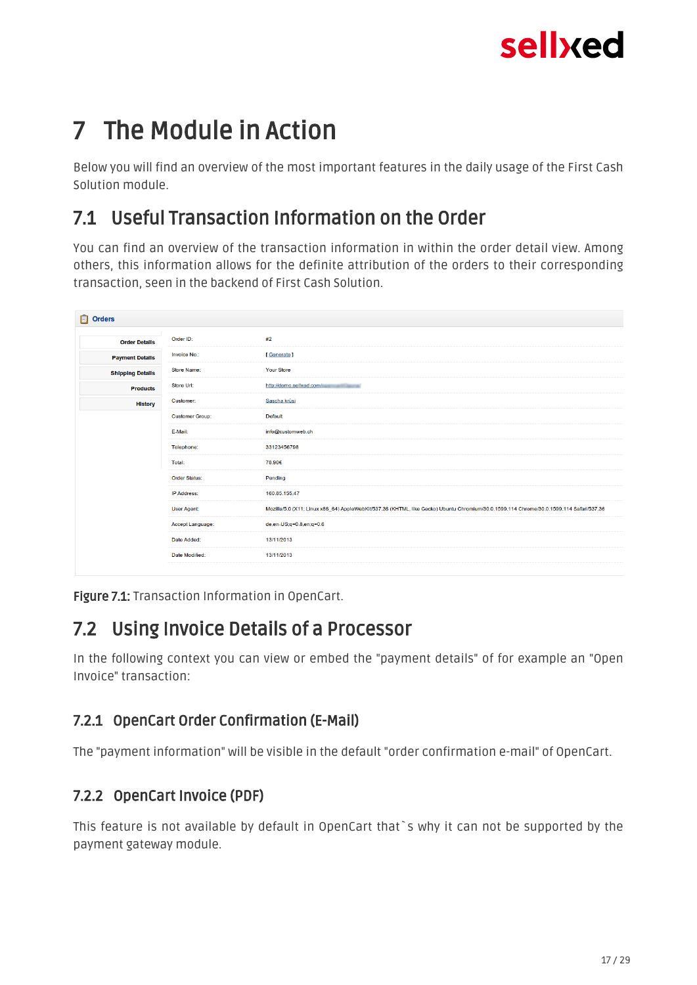## <span id="page-16-0"></span>7 The Module in Action

Below you will find an overview of the most important features in the daily usage of the First Cash Solution module.

### <span id="page-16-1"></span>7.1 Useful Transaction Information on the Order

You can find an overview of the transaction information in within the order detail view. Among others, this information allows for the definite attribution of the orders to their corresponding transaction, seen in the backend of First Cash Solution.

| <b>D</b> Orders             |                        |                                                                                                                                         |
|-----------------------------|------------------------|-----------------------------------------------------------------------------------------------------------------------------------------|
| <b>Order Details</b>        | Order ID:              | #2                                                                                                                                      |
| <b>Payment Details</b>      | Invoice No.:           | [Generate]                                                                                                                              |
| <b>Shipping Details</b>     | <b>Store Name:</b>     | <b>Your Store</b>                                                                                                                       |
| <b>Products</b>             | Store Url:             | http://demo.sellxed.com/                                                                                                                |
| Customer:<br><b>History</b> |                        | Sascha krüsi                                                                                                                            |
|                             | <b>Customer Group:</b> | Default                                                                                                                                 |
|                             | E-Mail:                | info@customweb.ch                                                                                                                       |
|                             | Telephone:             | 33123456798                                                                                                                             |
|                             | Total:                 | 78.90€                                                                                                                                  |
|                             | <b>Order Status:</b>   | Pending                                                                                                                                 |
|                             | <b>IP Address:</b>     | 160.85.155.47                                                                                                                           |
|                             | User Agent:            | Mozilla/5.0 (X11; Linux x86_64) AppleWebKit/537.36 (KHTML, like Gecko) Ubuntu Chromium/30.0.1599.114 Chrome/30.0.1599.114 Safari/537.36 |
|                             | Accept Language:       | de,en-US;q=0.8,en;q=0.6                                                                                                                 |
|                             | Date Added:            | 13/11/2013                                                                                                                              |
|                             | Date Modified:         | 13/11/2013                                                                                                                              |
|                             |                        |                                                                                                                                         |

Figure 7.1: Transaction Information in OpenCart.

### <span id="page-16-2"></span>7.2 Using Invoice Details of a Processor

In the following context you can view or embed the "payment details" of for example an "Open Invoice" transaction:

### <span id="page-16-3"></span>7.2.1 OpenCart Order Confirmation (E-Mail)

The "payment information" will be visible in the default "order confirmation e-mail" of OpenCart.

### <span id="page-16-4"></span>7.2.2 OpenCart Invoice (PDF)

This feature is not available by default in OpenCart that`s why it can not be supported by the payment gateway module.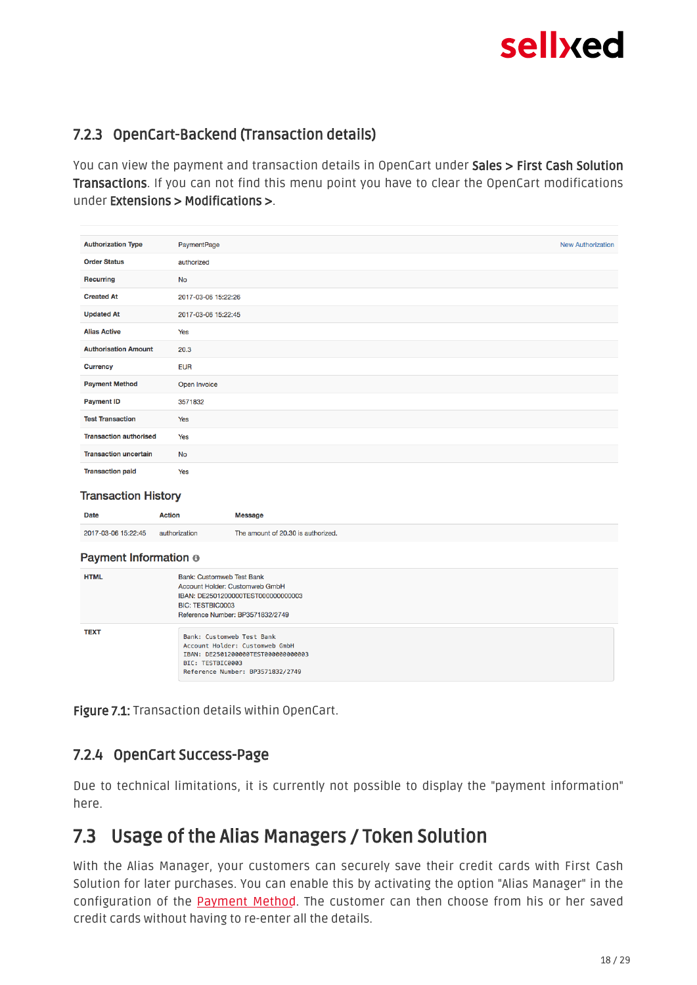### <span id="page-17-0"></span>7.2.3 OpenCart-Backend (Transaction details)

You can view the payment and transaction details in OpenCart under Sales > First Cash Solution Transactions. If you can not find this menu point you have to clear the OpenCart modifications under Extensions > Modifications >.

| <b>Authorization Type</b>     | PaymentPage         | <b>New Authorization</b> |
|-------------------------------|---------------------|--------------------------|
| <b>Order Status</b>           | authorized          |                          |
| Recurring                     | <b>No</b>           |                          |
| <b>Created At</b>             | 2017-03-06 15:22:26 |                          |
| <b>Updated At</b>             | 2017-03-06 15:22:45 |                          |
| <b>Alias Active</b>           | Yes                 |                          |
| <b>Authorisation Amount</b>   | 20.3                |                          |
| <b>Currency</b>               | <b>EUR</b>          |                          |
| <b>Payment Method</b>         | Open Invoice        |                          |
| <b>Payment ID</b>             | 3571832             |                          |
| <b>Test Transaction</b>       | Yes                 |                          |
| <b>Transaction authorised</b> | Yes                 |                          |
| <b>Transaction uncertain</b>  | <b>No</b>           |                          |
| <b>Transaction paid</b>       | Yes                 |                          |

#### **Transaction History**

| Date                  | Action        | Message                            |
|-----------------------|---------------|------------------------------------|
| 2017-03-06 15:22:45   | authorization | The amount of 20.30 is authorized. |
| Payment Information ® |               |                                    |

| <b>HTML</b> | Bank: Customweb Test Bank<br>Account Holder: Customweb GmbH<br>IBAN: DE2501200000TEST000000000003<br><b>BIC: TESTBIC0003</b><br>Reference Number: BP3571832/2749 |
|-------------|------------------------------------------------------------------------------------------------------------------------------------------------------------------|
| <b>TEXT</b> | Bank: Customweb Test Bank<br>Account Holder: Customweb GmbH<br>IBAN: DE2501200000TEST000000000003<br>BIC: TESTBIC0003<br>Reference Number: BP3571832/2749        |

Figure 7.1: Transaction details within OpenCart.

#### <span id="page-17-1"></span>7.2.4 OpenCart Success-Page

Due to technical limitations, it is currently not possible to display the "payment information" here.

### <span id="page-17-2"></span>7.3 Usage of the Alias Managers / Token Solution

With the Alias Manager, your customers can securely save their credit cards with First Cash Solution for later purchases. You can enable this by activating the option "Alias Manager" in the configuration of the **[Payment Method](#page-10-2)**. The customer can then choose from his or her saved credit cards without having to re-enter all the details.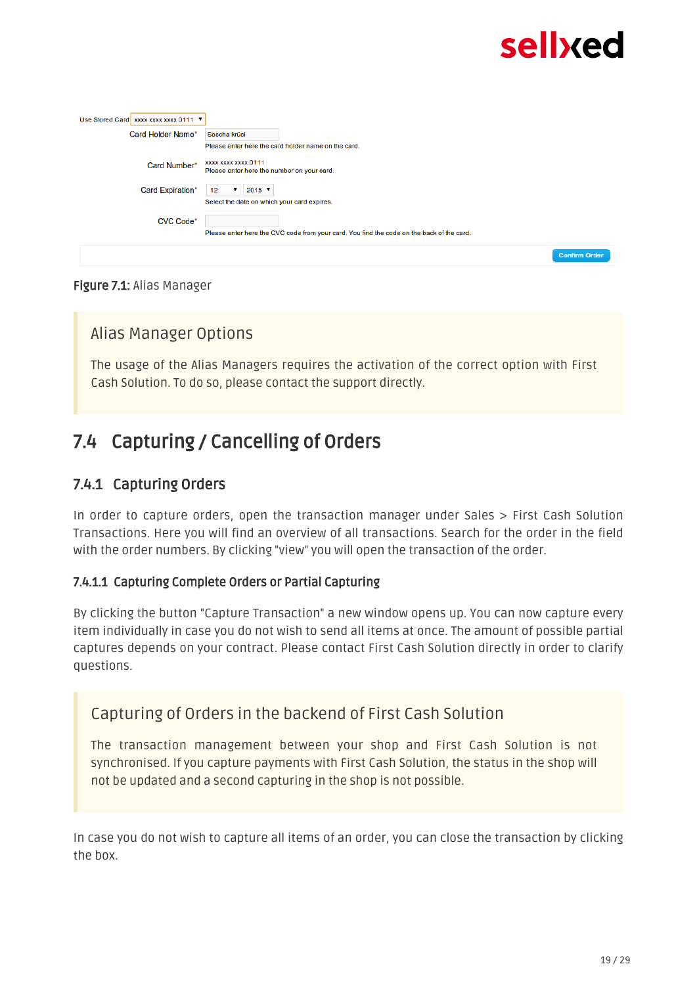| Use Stored Card   xxxx xxxx xxxx 0111 ▼ |                                                                                           |
|-----------------------------------------|-------------------------------------------------------------------------------------------|
| Card Holder Name*                       | Sascha krüsi                                                                              |
|                                         | Please enter here the card holder name on the card.                                       |
| Card Number*                            | XXXX XXXX XXXX 0111<br>Please enter here the number on your card.                         |
| Card Expiration*                        | $2015$ $\sqrt{ }$<br>12<br>▼                                                              |
|                                         | Select the date on which your card expires.                                               |
| <b>CVC Code*</b>                        |                                                                                           |
|                                         | Please enter here the CVC code from your card. You find the code on the back of the card. |
|                                         | <b>Confirm Order</b>                                                                      |

#### Figure 7.1: Alias Manager

#### Alias Manager Options

The usage of the Alias Managers requires the activation of the correct option with First Cash Solution. To do so, please contact the support directly.

### <span id="page-18-0"></span>7.4 Capturing / Cancelling of Orders

#### <span id="page-18-1"></span>7.4.1 Capturing Orders

In order to capture orders, open the transaction manager under Sales > First Cash Solution Transactions. Here you will find an overview of all transactions. Search for the order in the field with the order numbers. By clicking "view" you will open the transaction of the order.

#### 7.4.1.1 Capturing Complete Orders or Partial Capturing

By clicking the button "Capture Transaction" a new window opens up. You can now capture every item individually in case you do not wish to send all items at once. The amount of possible partial captures depends on your contract. Please contact First Cash Solution directly in order to clarify questions.

#### Capturing of Orders in the backend of First Cash Solution

The transaction management between your shop and First Cash Solution is not synchronised. If you capture payments with First Cash Solution, the status in the shop will not be updated and a second capturing in the shop is not possible.

In case you do not wish to capture all items of an order, you can close the transaction by clicking the box.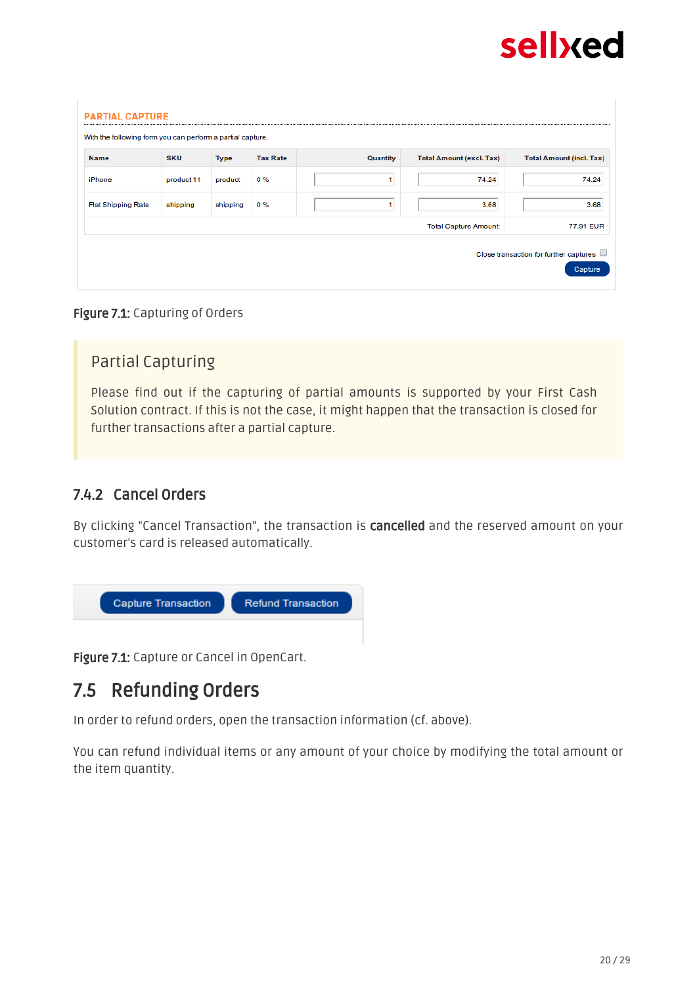

| <b>Name</b>               | <b>SKU</b> | <b>Type</b> | <b>Tax Rate</b> | <b>Quantity</b> | <b>Total Amount (excl. Tax)</b> | <b>Total Amount (incl. Tax)</b> |
|---------------------------|------------|-------------|-----------------|-----------------|---------------------------------|---------------------------------|
| iPhone                    | product 11 | product     | $0\%$           | 1               | 74.24                           | 74.24                           |
| <b>Flat Shipping Rate</b> | shipping   | shipping    | $0\%$           | 1               | 3.68                            | 3.68                            |
|                           |            |             |                 |                 | <b>Total Capture Amount:</b>    | 77.91 EUR                       |

#### Figure 7.1: Capturing of Orders

#### Partial Capturing

Please find out if the capturing of partial amounts is supported by your First Cash Solution contract. If this is not the case, it might happen that the transaction is closed for further transactions after a partial capture.

#### <span id="page-19-0"></span>7.4.2 Cancel Orders

By clicking "Cancel Transaction", the transaction is **cancelled** and the reserved amount on your customer's card is released automatically.



Figure 7.1: Capture or Cancel in OpenCart.

### <span id="page-19-1"></span>7.5 Refunding Orders

In order to refund orders, open the transaction information (cf. above).

You can refund individual items or any amount of your choice by modifying the total amount or the item quantity.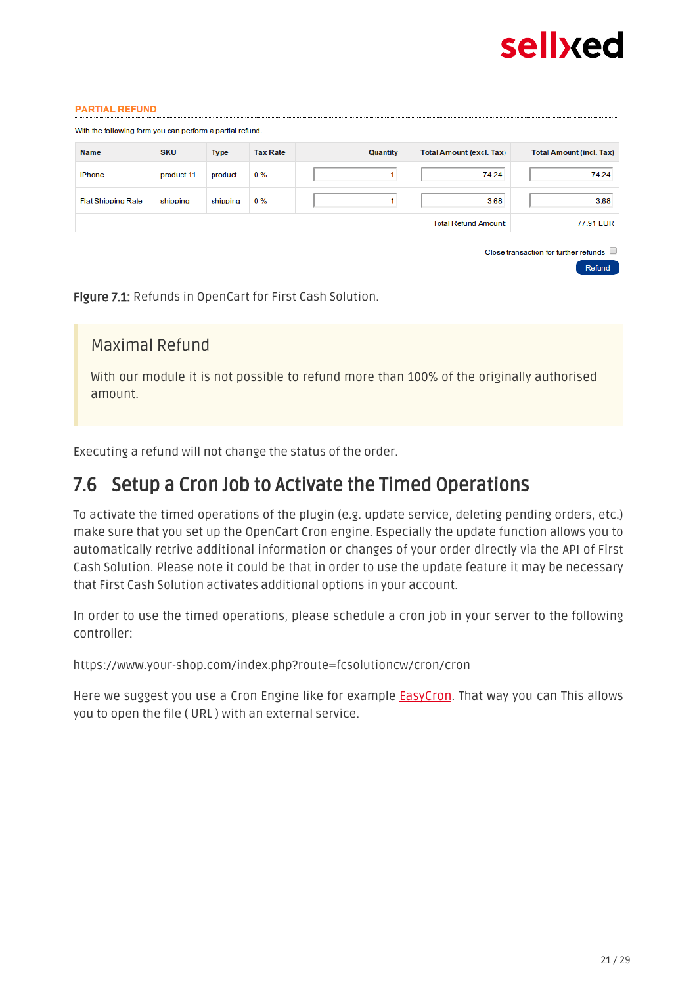

Refund

#### **PARTIAL REFUND**

| <b>Name</b>               | <b>SKU</b> | <b>Type</b> | <b>Tax Rate</b> | Quantity | <b>Total Amount (excl. Tax)</b> | <b>Total Amount (incl. Tax)</b> |
|---------------------------|------------|-------------|-----------------|----------|---------------------------------|---------------------------------|
| iPhone                    | product 11 | product     | $0\%$           |          | 74.24                           | 74.24                           |
| <b>Flat Shipping Rate</b> | shipping   | shipping    | $0\%$           |          | 3.68                            | 3.68                            |
|                           |            |             |                 |          | <b>Total Refund Amount:</b>     | 77.91 EUR                       |

Figure 7.1: Refunds in OpenCart for First Cash Solution.

#### Maximal Refund

With our module it is not possible to refund more than 100% of the originally authorised amount.

Executing a refund will not change the status of the order.

### <span id="page-20-0"></span>7.6 Setup a Cron Job to Activate the Timed Operations

To activate the timed operations of the plugin (e.g. update service, deleting pending orders, etc.) make sure that you set up the OpenCart Cron engine. Especially the update function allows you to automatically retrive additional information or changes of your order directly via the API of First Cash Solution. Please note it could be that in order to use the update feature it may be necessary that First Cash Solution activates additional options in your account.

In order to use the timed operations, please schedule a cron job in your server to the following controller:

https://www.your-shop.com/index.php?route=fcsolutioncw/cron/cron

Here we suggest you use a Cron Engine like for example **EasyCron**. That way you can This allows you to open the file ( URL ) with an external service.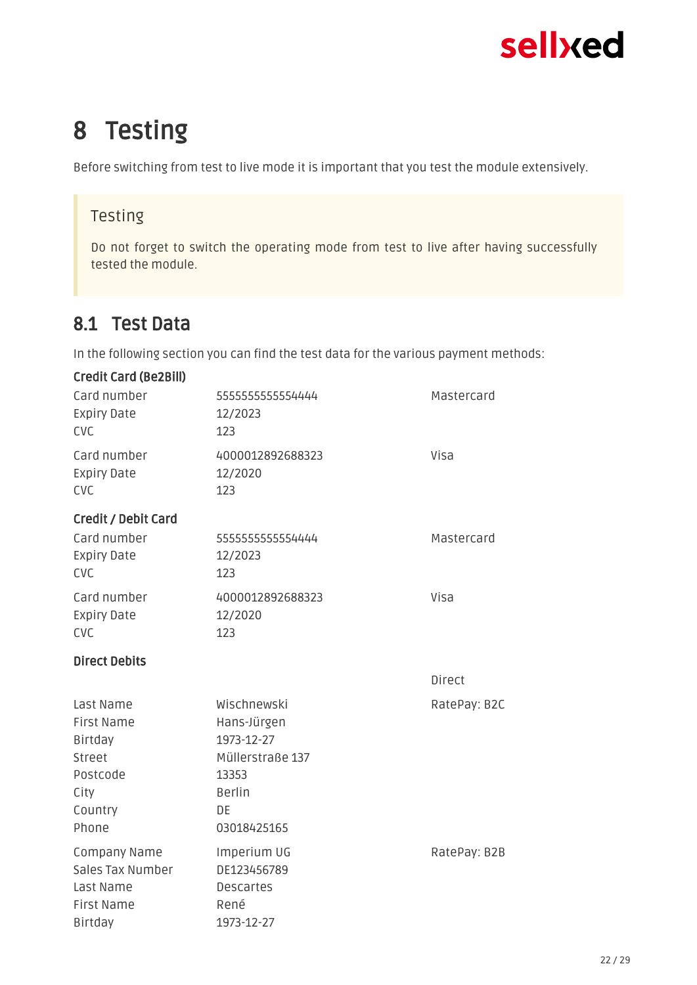## <span id="page-21-0"></span>8 Testing

Before switching from test to live mode it is important that you test the module extensively.

### Testing

Do not forget to switch the operating mode from test to live after having successfully tested the module.

### <span id="page-21-1"></span>8.1 Test Data

In the following section you can find the test data for the various payment methods:

| <b>Credit Card (Be2Bill)</b>                                                                |                                                                                                             |               |
|---------------------------------------------------------------------------------------------|-------------------------------------------------------------------------------------------------------------|---------------|
| Card number<br><b>Expiry Date</b><br><b>CVC</b>                                             | 5555555555554444<br>12/2023<br>123                                                                          | Mastercard    |
| Card number<br><b>Expiry Date</b><br><b>CVC</b>                                             | 4000012892688323<br>12/2020<br>123                                                                          | Visa          |
| <b>Credit / Debit Card</b><br>Card number<br><b>Expiry Date</b><br><b>CVC</b>               | 5555555555554444<br>12/2023<br>123                                                                          | Mastercard    |
| Card number<br><b>Expiry Date</b><br><b>CVC</b>                                             | 4000012892688323<br>12/2020<br>123                                                                          | Visa          |
| <b>Direct Debits</b>                                                                        |                                                                                                             |               |
|                                                                                             |                                                                                                             | <b>Direct</b> |
| Last Name<br><b>First Name</b><br>Birtday<br>Street<br>Postcode<br>City<br>Country<br>Phone | Wischnewski<br>Hans-Jürgen<br>1973-12-27<br>Müllerstraße 137<br>13353<br><b>Berlin</b><br>DE<br>03018425165 | RatePay: B2C  |
| Company Name<br>Sales Tax Number                                                            | Imperium UG<br>DE123456789                                                                                  | RatePay: B2B  |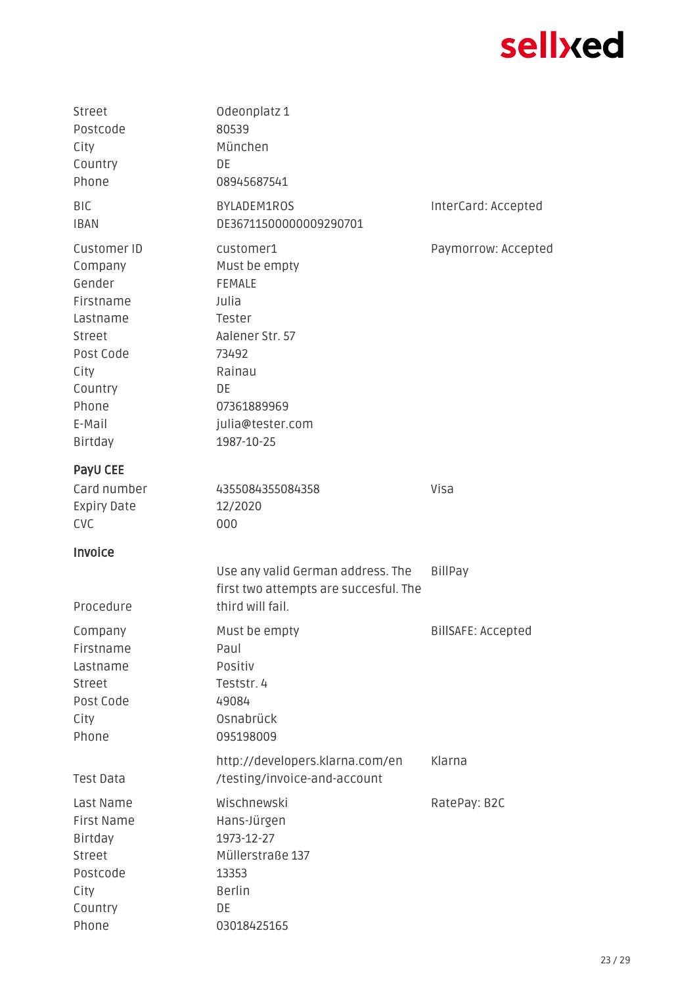| Street<br>Postcode<br>City<br>Country<br>Phone                                                                                    | Odeonplatz 1<br>80539<br>München<br>DE<br>08945687541                                                                                                       |                     |
|-----------------------------------------------------------------------------------------------------------------------------------|-------------------------------------------------------------------------------------------------------------------------------------------------------------|---------------------|
| BIC<br><b>IBAN</b>                                                                                                                | BYLADEM1ROS<br>DE36711500000009290701                                                                                                                       | InterCard: Accepted |
| Customer ID<br>Company<br>Gender<br>Firstname<br>Lastname<br>Street<br>Post Code<br>City<br>Country<br>Phone<br>E-Mail<br>Birtday | customer1<br>Must be empty<br><b>FEMALE</b><br>Julia<br>Tester<br>Aalener Str. 57<br>73492<br>Rainau<br>DE<br>07361889969<br>julia@tester.com<br>1987-10-25 | Paymorrow: Accepted |
| PayU CEE<br>Card number<br><b>Expiry Date</b><br><b>CVC</b>                                                                       | 4355084355084358<br>12/2020<br>000                                                                                                                          | Visa                |
| Invoice                                                                                                                           |                                                                                                                                                             |                     |
| Procedure                                                                                                                         | Use any valid German address. The<br>first two attempts are succesful. The<br>third will fail.                                                              | BillPay             |
| Company<br>Firstname<br>Lastname<br>Street<br>Post Code<br>City<br>Phone                                                          | Must be empty<br>Paul<br>Positiv<br>Teststr. 4<br>49084<br>Osnabrück<br>095198009                                                                           | BillSAFE: Accepted  |
| <b>Test Data</b>                                                                                                                  | http://developers.klarna.com/en<br>/testing/invoice-and-account                                                                                             | Klarna              |
| Last Name<br>First Name<br>Birtday<br>Street<br>Postcode<br>City<br>Country<br>Phone                                              | Wischnewski<br>Hans-Jürgen<br>1973-12-27<br>Müllerstraße 137<br>13353<br>Berlin<br>DE<br>03018425165                                                        | RatePay: B2C        |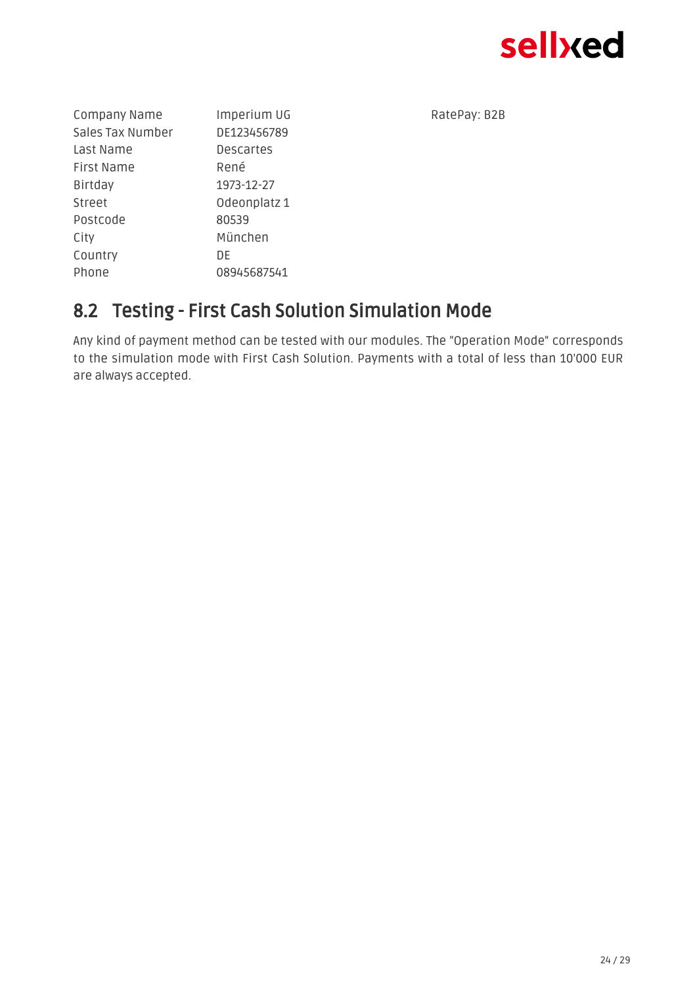

| Company Name     | Imperium UG      |  |
|------------------|------------------|--|
| Sales Tax Number | DE123456789      |  |
| Last Name        | <b>Descartes</b> |  |
| First Name       | René             |  |
| Birtday          | 1973-12-27       |  |
| Street           | Odeonplatz 1     |  |
| Postcode         | 80539            |  |
| City             | München          |  |
| Country          | DE               |  |
| Phone            | 08945687541      |  |
|                  |                  |  |

RatePay: B2B

### <span id="page-23-0"></span>8.2 Testing - First Cash Solution Simulation Mode

Any kind of payment method can be tested with our modules. The "Operation Mode" corresponds to the simulation mode with First Cash Solution. Payments with a total of less than 10'000 EUR are always accepted.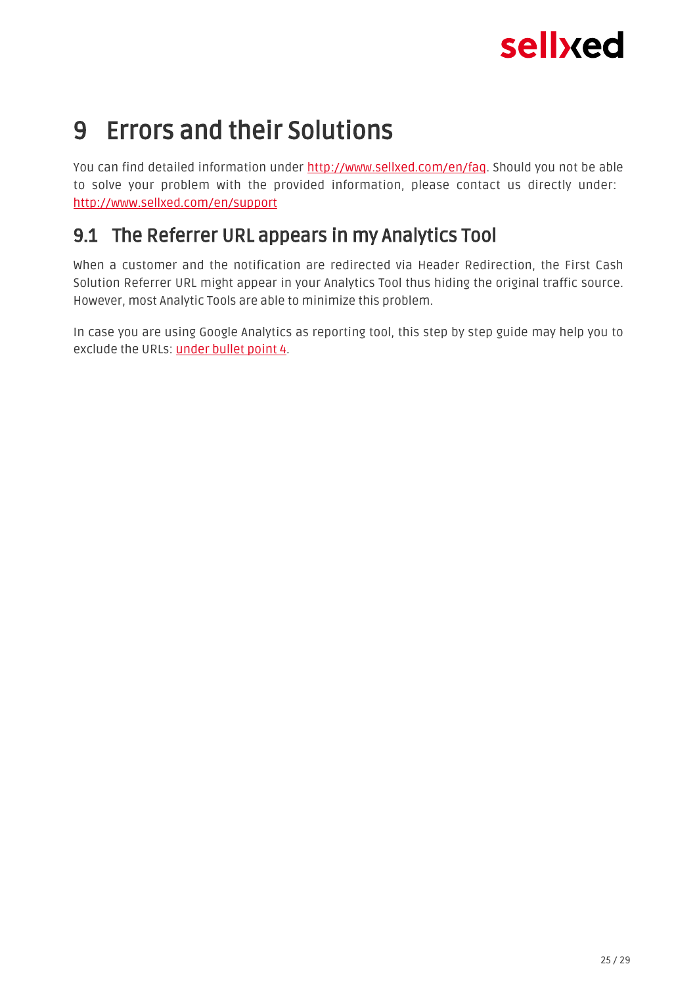## <span id="page-24-0"></span>9 Errors and their Solutions

You can find detailed information under <http://www.sellxed.com/en/faq>. Should you not be able to solve your problem with the provided information, please contact us directly under: <http://www.sellxed.com/en/support>

### <span id="page-24-1"></span>9.1 The Referrer URL appears in my Analytics Tool

When a customer and the notification are redirected via Header Redirection, the First Cash Solution Referrer URL might appear in your Analytics Tool thus hiding the original traffic source. However, most Analytic Tools are able to minimize this problem.

In case you are using Google Analytics as reporting tool, this step by step guide may help you to exclude the URLs: [under bullet point 4.](http://www.optimizesmart.com/tracking-true-referrals-in-google-analytics-when-using-paypal-and-other-payment-gateways/)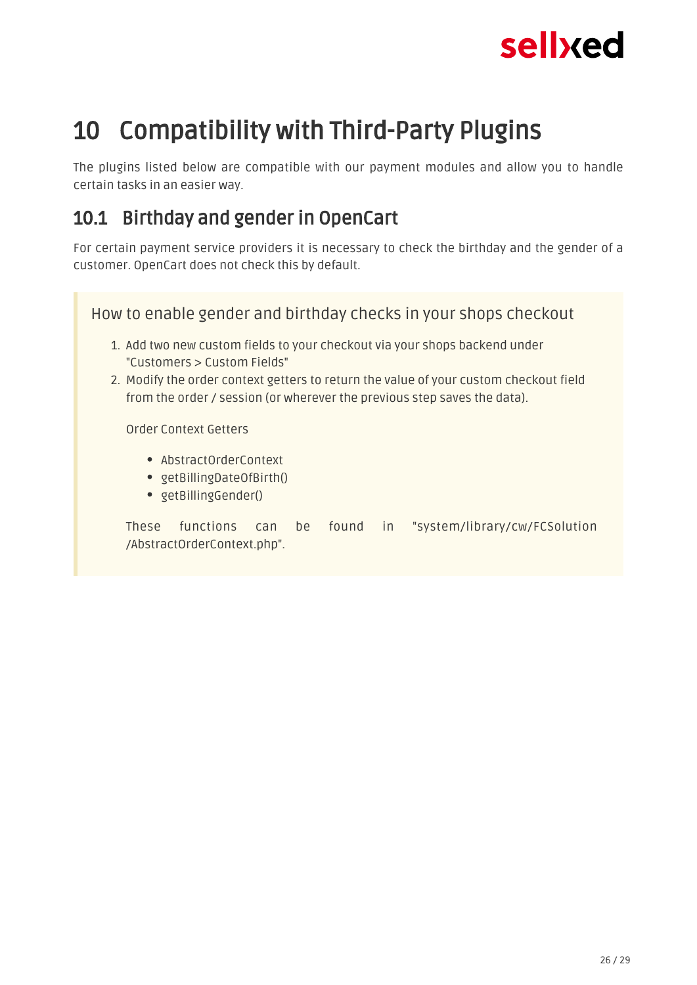

## <span id="page-25-0"></span>10 Compatibility with Third-Party Plugins

The plugins listed below are compatible with our payment modules and allow you to handle certain tasks in an easier way.

### <span id="page-25-1"></span>10.1 Birthday and gender in OpenCart

For certain payment service providers it is necessary to check the birthday and the gender of a customer. OpenCart does not check this by default.

| How to enable gender and birthday checks in your shops checkout                                                                                                                                    |
|----------------------------------------------------------------------------------------------------------------------------------------------------------------------------------------------------|
| 1. Add two new custom fields to your checkout via your shops backend under<br>"Customers > Custom Fields"<br>2. Modify the order context getters to return the value of your custom checkout field |
| from the order / session (or wherever the previous step saves the data).<br>Order Context Getters                                                                                                  |
| • AbstractOrderContext<br>• getBillingDateOfBirth()<br>• getBillingGender()                                                                                                                        |

These functions can be found in "system/library/cw/FCSolution /AbstractOrderContext.php".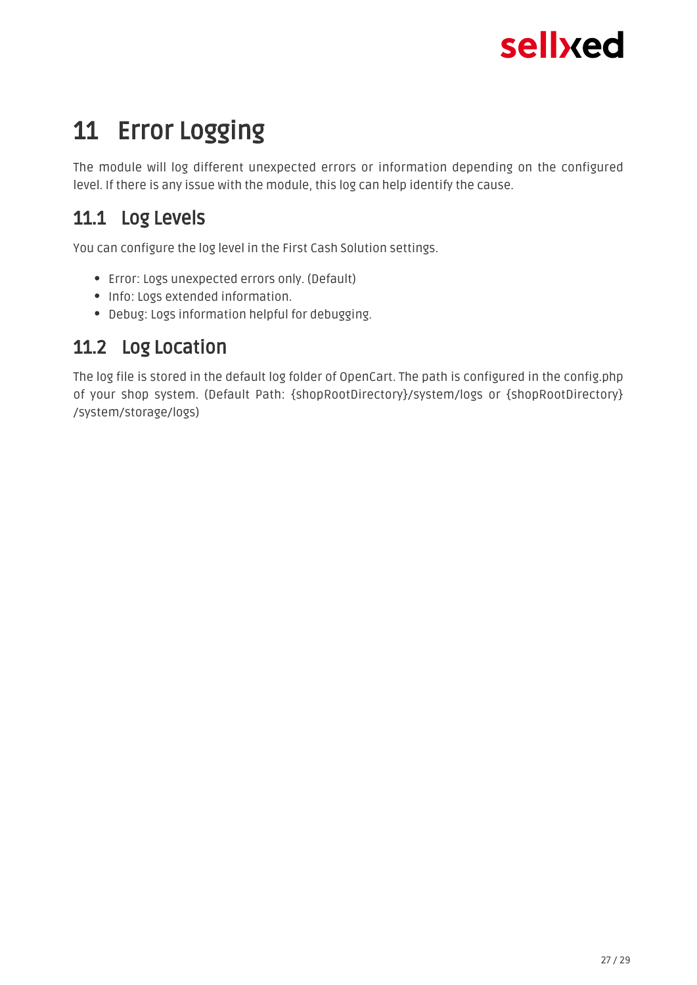## <span id="page-26-0"></span>11 Error Logging

The module will log different unexpected errors or information depending on the configured level. If there is any issue with the module, this log can help identify the cause.

### <span id="page-26-1"></span>11.1 Log Levels

You can configure the log level in the First Cash Solution settings.

- Error: Logs unexpected errors only. (Default)
- Info: Logs extended information.
- Debug: Logs information helpful for debugging.

### <span id="page-26-2"></span>11.2 Log Location

The log file is stored in the default log folder of OpenCart. The path is configured in the config.php of your shop system. (Default Path: {shopRootDirectory}/system/logs or {shopRootDirectory} /system/storage/logs)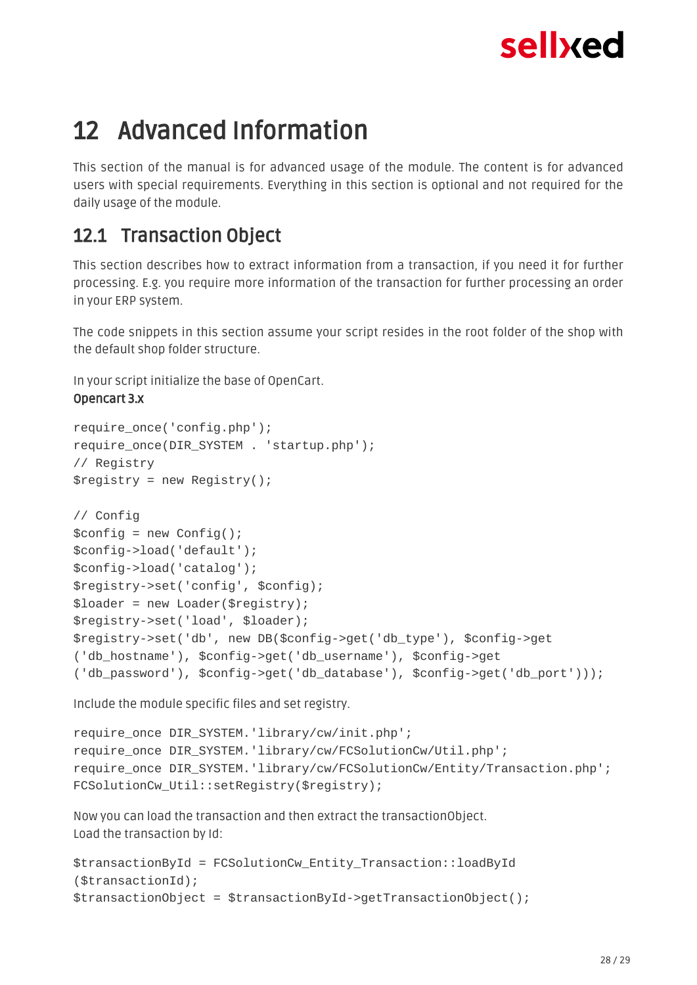## <span id="page-27-0"></span>12 Advanced Information

This section of the manual is for advanced usage of the module. The content is for advanced users with special requirements. Everything in this section is optional and not required for the daily usage of the module.

### <span id="page-27-1"></span>12.1 Transaction Object

This section describes how to extract information from a transaction, if you need it for further processing. E.g. you require more information of the transaction for further processing an order in your ERP system.

The code snippets in this section assume your script resides in the root folder of the shop with the default shop folder structure.

In your script initialize the base of OpenCart.

#### Opencart 3.x

```
require once('config.php');
require once(DIR_SYSTEM . 'startup.php');
// Registry
$registry = new Registry();
// Config
$config = new Confiq();
$config->load('default');
$config->load('catalog');
$registry->set('config', $config);
$loader = new Loader($registry);
$registry->set('load', $loader);
$registry->set('db', new DB($config->get('db_type'), $config->get
('db_hostname'), $config->get('db_username'), $config->get
('db_password'), $config->get('db_database'), $config->get('db_port')));
```
Include the module specific files and set registry.

```
require_once DIR_SYSTEM.'library/cw/init.php';
require_once DIR_SYSTEM.'library/cw/FCSolutionCw/Util.php';
require_once DIR_SYSTEM.'library/cw/FCSolutionCw/Entity/Transaction.php';
FCSolutionCw_Util::setRegistry($registry);
```
Now you can load the transaction and then extract the transactionObject. Load the transaction by Id:

```
$transactionById = FCSolutionCw_Entity_Transaction::loadById
($transactionId);
$transactionObject = $transactionById->getTransactionObject();
```